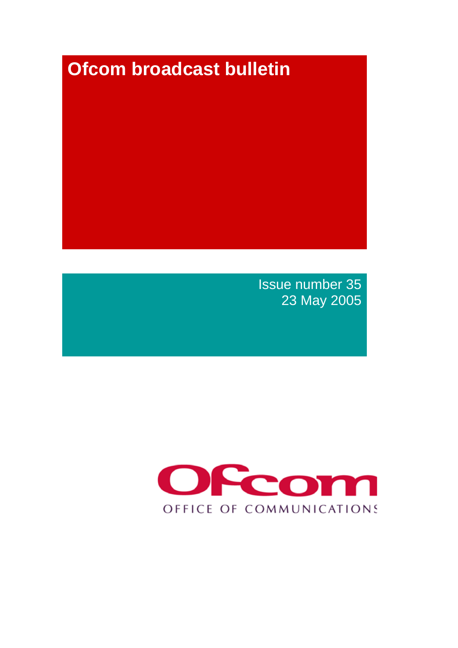# **Ofcom broadcast bulletin**

Issue number 35 23 May 2005

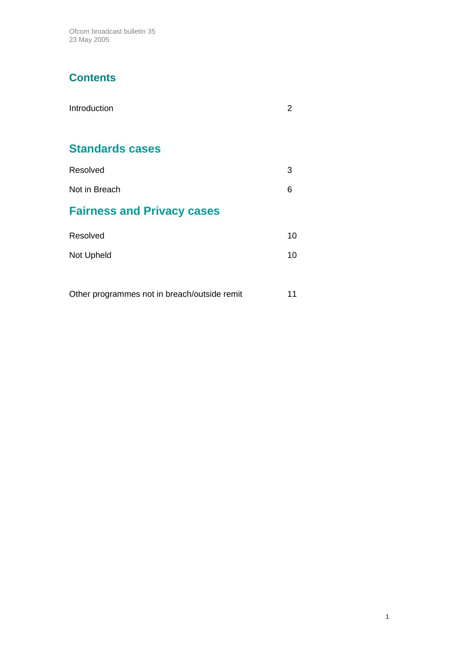Ofcom broadcast bulletin 35 23 May 2005

# **Contents**

| Introduction                      |    |
|-----------------------------------|----|
| <b>Standards cases</b>            |    |
| Resolved                          | 3  |
| Not in Breach                     | 6  |
| <b>Fairness and Privacy cases</b> |    |
| Resolved                          | 10 |
| Not Upheld                        | 10 |
|                                   |    |

Other programmes not in breach/outside remit 11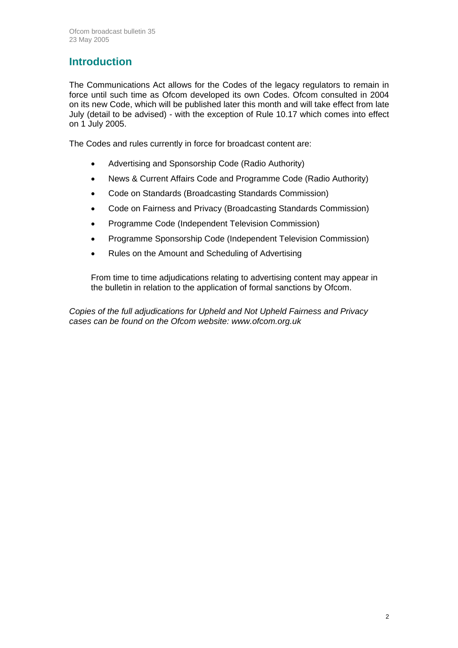# **Introduction**

The Communications Act allows for the Codes of the legacy regulators to remain in force until such time as Ofcom developed its own Codes. Ofcom consulted in 2004 on its new Code, which will be published later this month and will take effect from late July (detail to be advised) - with the exception of Rule 10.17 which comes into effect on 1 July 2005.

The Codes and rules currently in force for broadcast content are:

- Advertising and Sponsorship Code (Radio Authority)
- News & Current Affairs Code and Programme Code (Radio Authority)
- Code on Standards (Broadcasting Standards Commission)
- Code on Fairness and Privacy (Broadcasting Standards Commission)
- Programme Code (Independent Television Commission)
- Programme Sponsorship Code (Independent Television Commission)
- Rules on the Amount and Scheduling of Advertising

From time to time adjudications relating to advertising content may appear in the bulletin in relation to the application of formal sanctions by Ofcom.

*Copies of the full adjudications for Upheld and Not Upheld Fairness and Privacy cases can be found on the Ofcom website: www.ofcom.org.uk*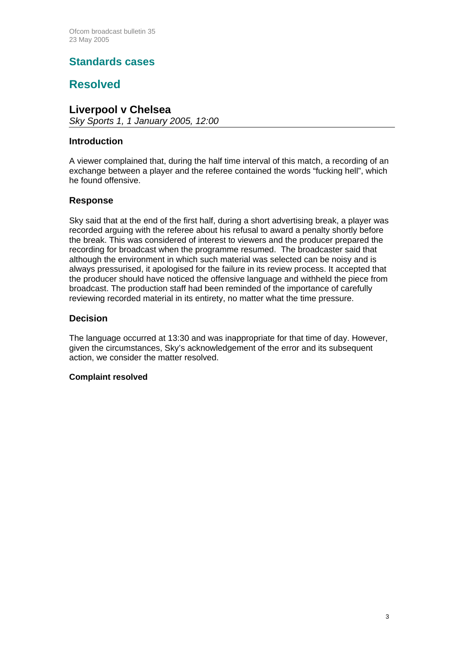## **Standards cases**

### **Resolved**

### **Liverpool v Chelsea**

*Sky Sports 1, 1 January 2005, 12:00* 

#### **Introduction**

A viewer complained that, during the half time interval of this match, a recording of an exchange between a player and the referee contained the words "fucking hell", which he found offensive.

#### **Response**

Sky said that at the end of the first half, during a short advertising break, a player was recorded arguing with the referee about his refusal to award a penalty shortly before the break. This was considered of interest to viewers and the producer prepared the recording for broadcast when the programme resumed. The broadcaster said that although the environment in which such material was selected can be noisy and is always pressurised, it apologised for the failure in its review process. It accepted that the producer should have noticed the offensive language and withheld the piece from broadcast. The production staff had been reminded of the importance of carefully reviewing recorded material in its entirety, no matter what the time pressure.

#### **Decision**

The language occurred at 13:30 and was inappropriate for that time of day. However, given the circumstances, Sky's acknowledgement of the error and its subsequent action, we consider the matter resolved.

#### **Complaint resolved**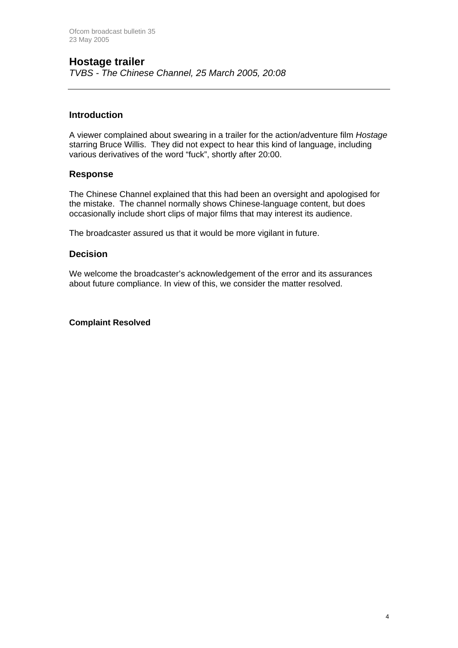### **Hostage trailer**

*TVBS - The Chinese Channel, 25 March 2005, 20:08* 

#### **Introduction**

A viewer complained about swearing in a trailer for the action/adventure film *Hostage* starring Bruce Willis. They did not expect to hear this kind of language, including various derivatives of the word "fuck", shortly after 20:00.

#### **Response**

The Chinese Channel explained that this had been an oversight and apologised for the mistake. The channel normally shows Chinese-language content, but does occasionally include short clips of major films that may interest its audience.

The broadcaster assured us that it would be more vigilant in future.

#### **Decision**

We welcome the broadcaster's acknowledgement of the error and its assurances about future compliance. In view of this, we consider the matter resolved.

#### **Complaint Resolved**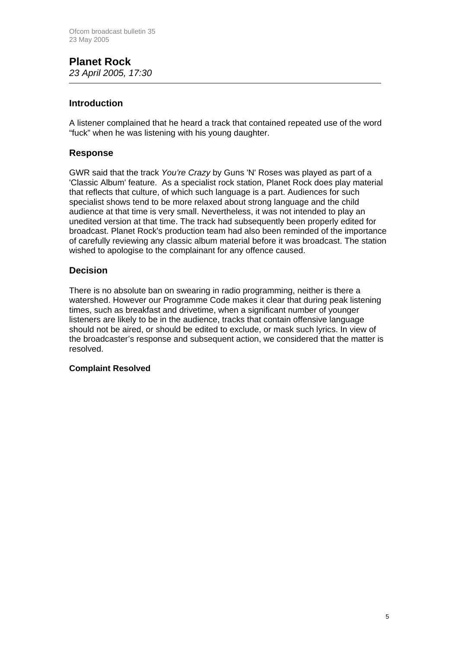#### **Planet Rock**  *23 April 2005, 17:30*

#### **Introduction**

A listener complained that he heard a track that contained repeated use of the word "fuck" when he was listening with his young daughter.

#### **Response**

GWR said that the track *You're Crazy* by Guns 'N' Roses was played as part of a 'Classic Album' feature. As a specialist rock station, Planet Rock does play material that reflects that culture, of which such language is a part. Audiences for such specialist shows tend to be more relaxed about strong language and the child audience at that time is very small. Nevertheless, it was not intended to play an unedited version at that time. The track had subsequently been properly edited for broadcast. Planet Rock's production team had also been reminded of the importance of carefully reviewing any classic album material before it was broadcast. The station wished to apologise to the complainant for any offence caused.

#### **Decision**

There is no absolute ban on swearing in radio programming, neither is there a watershed. However our Programme Code makes it clear that during peak listening times, such as breakfast and drivetime, when a significant number of younger listeners are likely to be in the audience, tracks that contain offensive language should not be aired, or should be edited to exclude, or mask such lyrics. In view of the broadcaster's response and subsequent action, we considered that the matter is resolved.

#### **Complaint Resolved**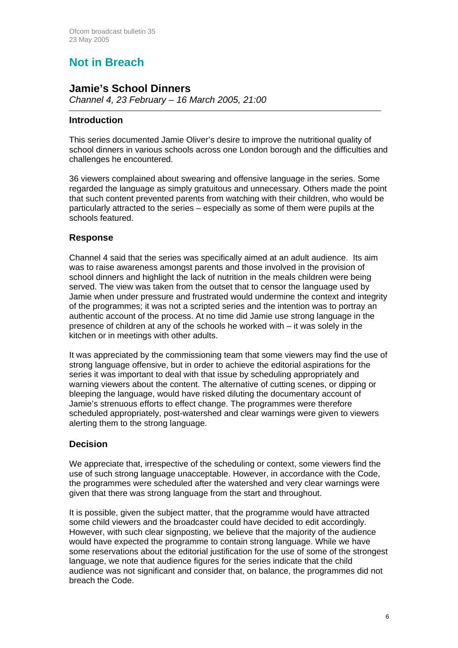# **Not in Breach**

### **Jamie's School Dinners**

*Channel 4, 23 February – 16 March 2005, 21:00* 

#### **Introduction**

This series documented Jamie Oliver's desire to improve the nutritional quality of school dinners in various schools across one London borough and the difficulties and challenges he encountered.

36 viewers complained about swearing and offensive language in the series. Some regarded the language as simply gratuitous and unnecessary. Others made the point that such content prevented parents from watching with their children, who would be particularly attracted to the series – especially as some of them were pupils at the schools featured.

#### **Response**

Channel 4 said that the series was specifically aimed at an adult audience. Its aim was to raise awareness amongst parents and those involved in the provision of school dinners and highlight the lack of nutrition in the meals children were being served. The view was taken from the outset that to censor the language used by Jamie when under pressure and frustrated would undermine the context and integrity of the programmes; it was not a scripted series and the intention was to portray an authentic account of the process. At no time did Jamie use strong language in the presence of children at any of the schools he worked with – it was solely in the kitchen or in meetings with other adults.

It was appreciated by the commissioning team that some viewers may find the use of strong language offensive, but in order to achieve the editorial aspirations for the series it was important to deal with that issue by scheduling appropriately and warning viewers about the content. The alternative of cutting scenes, or dipping or bleeping the language, would have risked diluting the documentary account of Jamie's strenuous efforts to effect change. The programmes were therefore scheduled appropriately, post-watershed and clear warnings were given to viewers alerting them to the strong language.

#### **Decision**

We appreciate that, irrespective of the scheduling or context, some viewers find the use of such strong language unacceptable. However, in accordance with the Code, the programmes were scheduled after the watershed and very clear warnings were given that there was strong language from the start and throughout.

It is possible, given the subject matter, that the programme would have attracted some child viewers and the broadcaster could have decided to edit accordingly. However, with such clear signposting, we believe that the majority of the audience would have expected the programme to contain strong language. While we have some reservations about the editorial justification for the use of some of the strongest language, we note that audience figures for the series indicate that the child audience was not significant and consider that, on balance, the programmes did not breach the Code.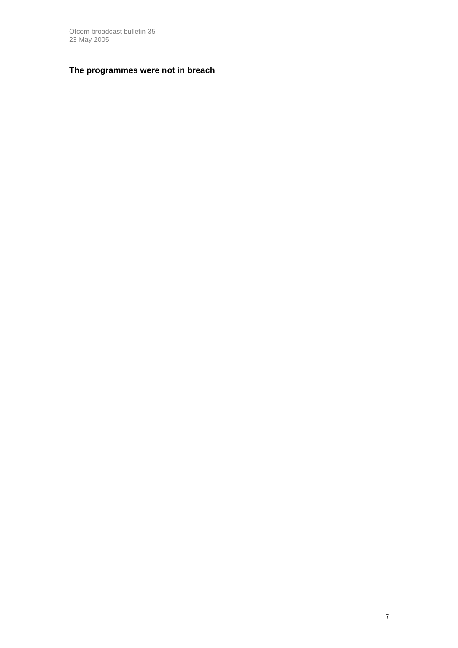Ofcom broadcast bulletin 35 23 May 2005

#### **The programmes were not in breach**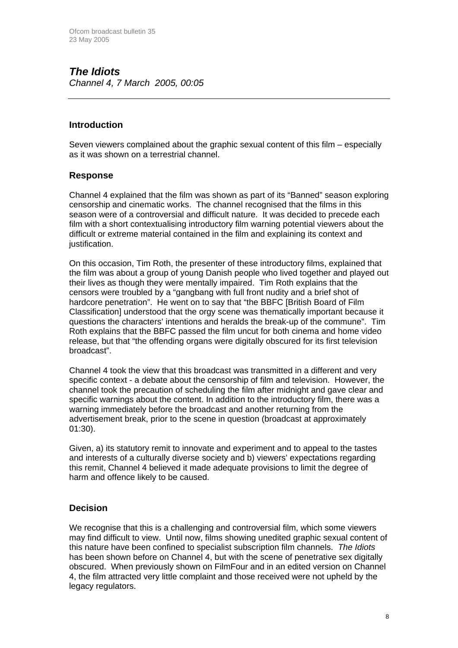### *The Idiots Channel 4, 7 March 2005, 00:05*

#### **Introduction**

Seven viewers complained about the graphic sexual content of this film – especially as it was shown on a terrestrial channel.

#### **Response**

Channel 4 explained that the film was shown as part of its "Banned" season exploring censorship and cinematic works. The channel recognised that the films in this season were of a controversial and difficult nature. It was decided to precede each film with a short contextualising introductory film warning potential viewers about the difficult or extreme material contained in the film and explaining its context and justification.

On this occasion, Tim Roth, the presenter of these introductory films, explained that the film was about a group of young Danish people who lived together and played out their lives as though they were mentally impaired. Tim Roth explains that the censors were troubled by a "gangbang with full front nudity and a brief shot of hardcore penetration". He went on to say that "the BBFC [British Board of Film Classification] understood that the orgy scene was thematically important because it questions the characters' intentions and heralds the break-up of the commune". Tim Roth explains that the BBFC passed the film uncut for both cinema and home video release, but that "the offending organs were digitally obscured for its first television broadcast".

Channel 4 took the view that this broadcast was transmitted in a different and very specific context - a debate about the censorship of film and television. However, the channel took the precaution of scheduling the film after midnight and gave clear and specific warnings about the content. In addition to the introductory film, there was a warning immediately before the broadcast and another returning from the advertisement break, prior to the scene in question (broadcast at approximately 01:30).

Given, a) its statutory remit to innovate and experiment and to appeal to the tastes and interests of a culturally diverse society and b) viewers' expectations regarding this remit, Channel 4 believed it made adequate provisions to limit the degree of harm and offence likely to be caused.

#### **Decision**

We recognise that this is a challenging and controversial film, which some viewers may find difficult to view. Until now, films showing unedited graphic sexual content of this nature have been confined to specialist subscription film channels. *The Idiots*  has been shown before on Channel 4, but with the scene of penetrative sex digitally obscured. When previously shown on FilmFour and in an edited version on Channel 4, the film attracted very little complaint and those received were not upheld by the legacy regulators.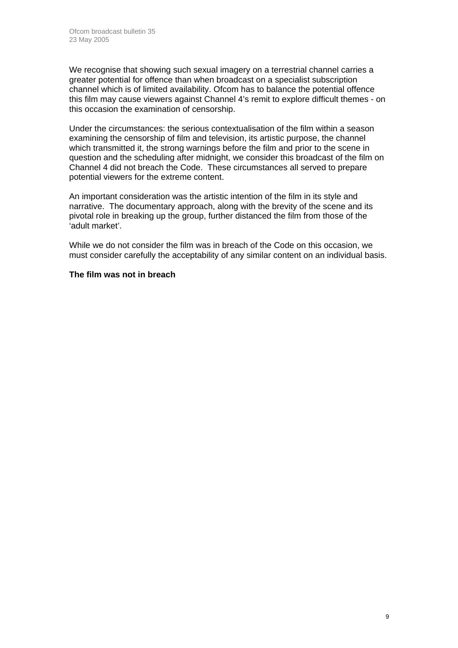We recognise that showing such sexual imagery on a terrestrial channel carries a greater potential for offence than when broadcast on a specialist subscription channel which is of limited availability. Ofcom has to balance the potential offence this film may cause viewers against Channel 4's remit to explore difficult themes - on this occasion the examination of censorship.

Under the circumstances: the serious contextualisation of the film within a season examining the censorship of film and television, its artistic purpose, the channel which transmitted it, the strong warnings before the film and prior to the scene in question and the scheduling after midnight, we consider this broadcast of the film on Channel 4 did not breach the Code. These circumstances all served to prepare potential viewers for the extreme content.

An important consideration was the artistic intention of the film in its style and narrative. The documentary approach, along with the brevity of the scene and its pivotal role in breaking up the group, further distanced the film from those of the 'adult market'.

While we do not consider the film was in breach of the Code on this occasion, we must consider carefully the acceptability of any similar content on an individual basis.

#### **The film was not in breach**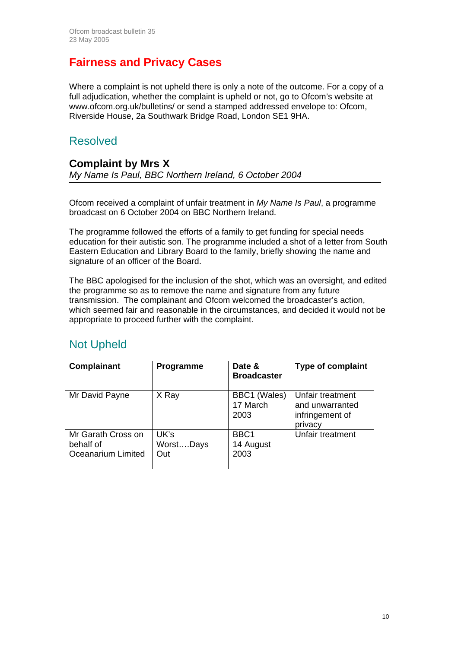# **Fairness and Privacy Cases**

Where a complaint is not upheld there is only a note of the outcome. For a copy of a full adjudication, whether the complaint is upheld or not, go to Ofcom's website at www.ofcom.org.uk/bulletins/ or send a stamped addressed envelope to: Ofcom, Riverside House, 2a Southwark Bridge Road, London SE1 9HA.

## Resolved

#### **Complaint by Mrs X**  *My Name Is Paul, BBC Northern Ireland, 6 October 2004*

Ofcom received a complaint of unfair treatment in *My Name Is Paul*, a programme broadcast on 6 October 2004 on BBC Northern Ireland.

The programme followed the efforts of a family to get funding for special needs education for their autistic son. The programme included a shot of a letter from South Eastern Education and Library Board to the family, briefly showing the name and signature of an officer of the Board.

The BBC apologised for the inclusion of the shot, which was an oversight, and edited the programme so as to remove the name and signature from any future transmission. The complainant and Ofcom welcomed the broadcaster's action, which seemed fair and reasonable in the circumstances, and decided it would not be appropriate to proceed further with the complaint.

# Not Upheld

| Complainant                                           | Programme                | Date &<br><b>Broadcaster</b>          | <b>Type of complaint</b>                                          |
|-------------------------------------------------------|--------------------------|---------------------------------------|-------------------------------------------------------------------|
| Mr David Payne                                        | X Ray                    | BBC1 (Wales)<br>17 March<br>2003      | Unfair treatment<br>and unwarranted<br>infringement of<br>privacy |
| Mr Garath Cross on<br>behalf of<br>Oceanarium Limited | UK's<br>WorstDays<br>Out | BBC <sub>1</sub><br>14 August<br>2003 | Unfair treatment                                                  |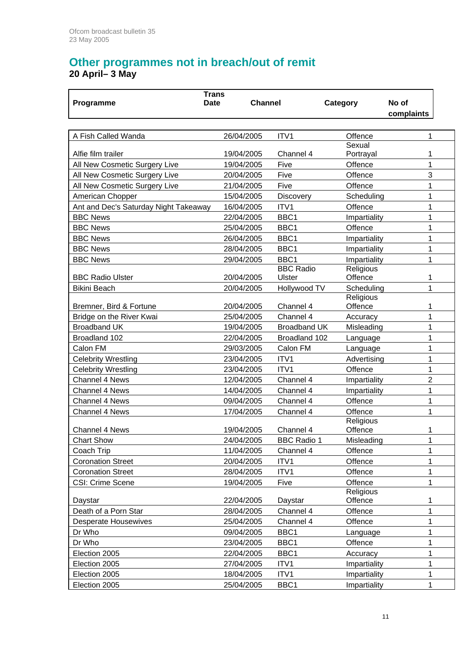### **Other programmes not in breach/out of remit 20 April– 3 May**

|                                       | <b>Trans</b> |                |                     |                      |                |  |
|---------------------------------------|--------------|----------------|---------------------|----------------------|----------------|--|
| Programme                             | <b>Date</b>  | <b>Channel</b> |                     | Category             | No of          |  |
|                                       |              |                |                     |                      | complaints     |  |
|                                       |              |                |                     |                      |                |  |
| A Fish Called Wanda                   |              | 26/04/2005     | ITV1                | Offence              | 1              |  |
| Alfie film trailer                    |              | 19/04/2005     | Channel 4           | Sexual               | 1              |  |
| All New Cosmetic Surgery Live         |              | 19/04/2005     | Five                | Portrayal<br>Offence | 1              |  |
| All New Cosmetic Surgery Live         |              | 20/04/2005     | Five                | Offence              | 3              |  |
| All New Cosmetic Surgery Live         |              | 21/04/2005     | Five                | Offence              | 1              |  |
| American Chopper                      |              | 15/04/2005     | <b>Discovery</b>    | Scheduling           | 1              |  |
| Ant and Dec's Saturday Night Takeaway |              | 16/04/2005     | ITV <sub>1</sub>    | Offence              | 1              |  |
| <b>BBC News</b>                       |              | 22/04/2005     | BBC1                | Impartiality         | 1              |  |
| <b>BBC News</b>                       |              | 25/04/2005     | BBC1                | Offence              | 1              |  |
| <b>BBC News</b>                       |              | 26/04/2005     | BBC1                | Impartiality         | 1              |  |
| <b>BBC News</b>                       |              | 28/04/2005     | BBC1                | Impartiality         | 1              |  |
| <b>BBC News</b>                       |              | 29/04/2005     | BBC1                | Impartiality         | 1              |  |
|                                       |              |                | <b>BBC Radio</b>    | Religious            |                |  |
| <b>BBC Radio Ulster</b>               |              | 20/04/2005     | Ulster              | Offence              | 1              |  |
| <b>Bikini Beach</b>                   |              | 20/04/2005     | Hollywood TV        | Scheduling           | 1              |  |
|                                       |              |                |                     | Religious            |                |  |
| Bremner, Bird & Fortune               |              | 20/04/2005     | Channel 4           | Offence              | 1              |  |
| Bridge on the River Kwai              |              | 25/04/2005     | Channel 4           | Accuracy             | 1              |  |
| <b>Broadband UK</b>                   |              | 19/04/2005     | <b>Broadband UK</b> | Misleading           | 1              |  |
| Broadland 102                         |              | 22/04/2005     | Broadland 102       | Language             | 1              |  |
| Calon FM                              |              | 29/03/2005     | Calon FM            | Language             | 1              |  |
| <b>Celebrity Wrestling</b>            |              | 23/04/2005     | ITV1                | Advertising          | 1              |  |
| <b>Celebrity Wrestling</b>            |              | 23/04/2005     | ITV1                | Offence              | 1              |  |
| <b>Channel 4 News</b>                 |              | 12/04/2005     | Channel 4           | Impartiality         | $\overline{2}$ |  |
| <b>Channel 4 News</b>                 |              | 14/04/2005     | Channel 4           | Impartiality         | 1              |  |
| <b>Channel 4 News</b>                 |              | 09/04/2005     | Channel 4           | Offence              | 1              |  |
| <b>Channel 4 News</b>                 |              | 17/04/2005     | Channel 4           | Offence              | 1              |  |
|                                       |              |                |                     | Religious            |                |  |
| <b>Channel 4 News</b>                 |              | 19/04/2005     | Channel 4           | Offence              | 1              |  |
| <b>Chart Show</b>                     |              | 24/04/2005     | <b>BBC Radio 1</b>  | Misleading           | 1              |  |
| Coach Trip                            |              | 11/04/2005     | Channel 4           | Offence              | 1              |  |
| <b>Coronation Street</b>              |              | 20/04/2005     | ITV1                | Offence              | 1              |  |
| <b>Coronation Street</b>              |              | 28/04/2005     | ITV1                | Offence              | 1              |  |
| CSI: Crime Scene                      |              | 19/04/2005     | Five                | Offence              | 1              |  |
|                                       |              |                |                     | Religious            |                |  |
| Daystar                               |              | 22/04/2005     | Daystar             | Offence              | 1              |  |
| Death of a Porn Star                  |              | 28/04/2005     | Channel 4           | Offence              | 1              |  |
| <b>Desperate Housewives</b>           |              | 25/04/2005     | Channel 4           | Offence              | 1              |  |
| Dr Who                                |              | 09/04/2005     | BBC1                | Language             | 1              |  |
| Dr Who                                |              | 23/04/2005     | BBC1                | Offence              | 1              |  |
| Election 2005                         |              | 22/04/2005     | BBC1                | Accuracy             | 1              |  |
| Election 2005                         |              | 27/04/2005     | ITV1                | Impartiality         | 1              |  |
| Election 2005                         |              | 18/04/2005     | ITV1                | Impartiality         | 1              |  |
| Election 2005                         |              | 25/04/2005     | BBC1                | Impartiality         | 1              |  |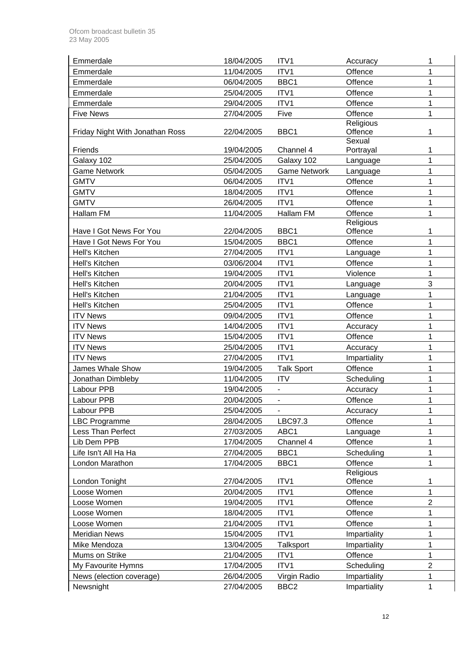| Emmerdale                         | 18/04/2005               | ITV1                              | Accuracy             | 1                |
|-----------------------------------|--------------------------|-----------------------------------|----------------------|------------------|
| Emmerdale                         | 11/04/2005               | ITV1                              | Offence              | 1                |
| Emmerdale                         | 06/04/2005               | BBC1                              | Offence              | 1                |
| Emmerdale                         | 25/04/2005               | ITV1                              | Offence              | 1                |
| Emmerdale                         | 29/04/2005               | ITV1                              | Offence              | 1                |
| <b>Five News</b>                  | 27/04/2005               | Five                              | Offence              | 1                |
|                                   |                          |                                   | Religious            |                  |
| Friday Night With Jonathan Ross   | 22/04/2005               | BBC1                              | Offence              | 1                |
|                                   |                          |                                   | Sexual               |                  |
| Friends                           | 19/04/2005<br>25/04/2005 | Channel 4                         | Portrayal            | 1<br>$\mathbf 1$ |
| Galaxy 102<br><b>Game Network</b> | 05/04/2005               | Galaxy 102<br><b>Game Network</b> | Language             | 1                |
|                                   |                          | ITV1                              | Language             | 1                |
| <b>GMTV</b>                       | 06/04/2005               |                                   | Offence              |                  |
| <b>GMTV</b>                       | 18/04/2005               | ITV1                              | Offence              | 1                |
| <b>GMTV</b>                       | 26/04/2005               | ITV1                              | Offence              | 1                |
| Hallam FM                         | 11/04/2005               | Hallam FM                         | Offence<br>Religious | 1                |
| Have I Got News For You           | 22/04/2005               | BBC1                              | Offence              | 1                |
| Have I Got News For You           | 15/04/2005               | BBC1                              | Offence              | $\mathbf 1$      |
| Hell's Kitchen                    | 27/04/2005               | ITV1                              | Language             | 1                |
| Hell's Kitchen                    | 03/06/2004               | ITV1                              | Offence              | 1                |
| Hell's Kitchen                    | 19/04/2005               | ITV1                              | Violence             | 1                |
| Hell's Kitchen                    | 20/04/2005               | ITV1                              | Language             | 3                |
| Hell's Kitchen                    | 21/04/2005               | ITV1                              | Language             | 1                |
| Hell's Kitchen                    | 25/04/2005               | ITV1                              | Offence              | 1                |
| <b>ITV News</b>                   | 09/04/2005               | ITV1                              | Offence              | 1                |
| <b>ITV News</b>                   | 14/04/2005               | ITV1                              | Accuracy             | 1                |
| <b>ITV News</b>                   | 15/04/2005               | ITV1                              | Offence              | 1                |
| <b>ITV News</b>                   | 25/04/2005               | ITV1                              | Accuracy             | 1                |
| <b>ITV News</b>                   | 27/04/2005               | ITV1                              | Impartiality         | 1                |
| <b>James Whale Show</b>           | 19/04/2005               | <b>Talk Sport</b>                 | Offence              | $\mathbf 1$      |
| Jonathan Dimbleby                 | 11/04/2005               | <b>ITV</b>                        | Scheduling           | 1                |
| Labour PPB                        | 19/04/2005               |                                   | Accuracy             | 1                |
| Labour PPB                        | 20/04/2005               | ۰                                 | Offence              | 1                |
| Labour PPB                        | 25/04/2005               |                                   | Accuracy             | 1                |
| <b>LBC Programme</b>              | 28/04/2005               | LBC97.3                           | Offence              | 1                |
| Less Than Perfect                 | 27/03/2005               | ABC1                              | Language             | 1                |
| Lib Dem PPB                       | 17/04/2005               | Channel 4                         | Offence              | $\overline{1}$   |
| Life Isn't All Ha Ha              | 27/04/2005               | BBC1                              | Scheduling           | 1                |
| London Marathon                   | 17/04/2005               | BBC1                              | Offence              | 1                |
|                                   |                          |                                   | Religious            |                  |
| London Tonight                    | 27/04/2005               | ITV1                              | Offence              | 1                |
| Loose Women                       | 20/04/2005               | ITV1                              | Offence              | 1                |
| Loose Women                       | 19/04/2005               | ITV1                              | Offence              | $\overline{2}$   |
| Loose Women                       | 18/04/2005               | ITV1                              | Offence              | 1                |
| Loose Women                       | 21/04/2005               | ITV1                              | Offence              | 1                |
| <b>Meridian News</b>              | 15/04/2005               | ITV1                              | Impartiality         | $\mathbf{1}$     |
| Mike Mendoza                      | 13/04/2005               | Talksport                         | Impartiality         | 1                |
| Mums on Strike                    | 21/04/2005               | ITV1                              | Offence              | $\mathbf 1$      |
| My Favourite Hymns                | 17/04/2005               | ITV1                              | Scheduling           | $\overline{2}$   |
| News (election coverage)          | 26/04/2005               | Virgin Radio                      | Impartiality         | 1                |
| Newsnight                         | 27/04/2005               | BBC <sub>2</sub>                  | Impartiality         | 1                |